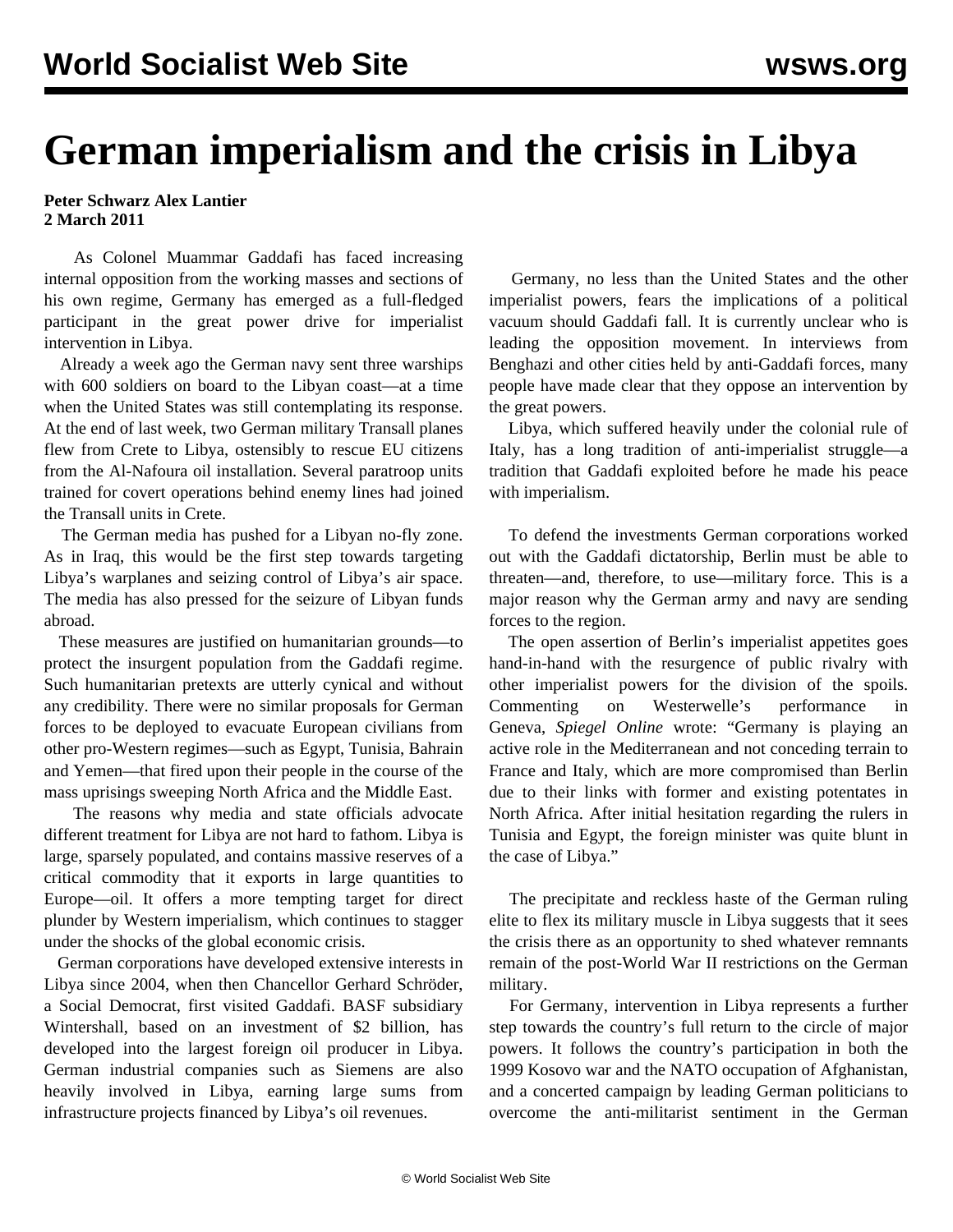## **German imperialism and the crisis in Libya**

## **Peter Schwarz Alex Lantier 2 March 2011**

 As Colonel Muammar Gaddafi has faced increasing internal opposition from the working masses and sections of his own regime, Germany has emerged as a full-fledged participant in the great power drive for imperialist intervention in Libya.

 Already a week ago the German navy sent three warships with 600 soldiers on board to the Libyan coast—at a time when the United States was still contemplating its response. At the end of last week, two German military Transall planes flew from Crete to Libya, ostensibly to rescue EU citizens from the Al-Nafoura oil installation. Several paratroop units trained for covert operations behind enemy lines had joined the Transall units in Crete.

 The German media has pushed for a Libyan no-fly zone. As in Iraq, this would be the first step towards targeting Libya's warplanes and seizing control of Libya's air space. The media has also pressed for the seizure of Libyan funds abroad.

 These measures are justified on humanitarian grounds—to protect the insurgent population from the Gaddafi regime. Such humanitarian pretexts are utterly cynical and without any credibility. There were no similar proposals for German forces to be deployed to evacuate European civilians from other pro-Western regimes—such as Egypt, Tunisia, Bahrain and Yemen—that fired upon their people in the course of the mass uprisings sweeping North Africa and the Middle East.

 The reasons why media and state officials advocate different treatment for Libya are not hard to fathom. Libya is large, sparsely populated, and contains massive reserves of a critical commodity that it exports in large quantities to Europe—oil. It offers a more tempting target for direct plunder by Western imperialism, which continues to stagger under the shocks of the global economic crisis.

 German corporations have developed extensive interests in Libya since 2004, when then Chancellor Gerhard Schröder, a Social Democrat, first visited Gaddafi. BASF subsidiary Wintershall, based on an investment of \$2 billion, has developed into the largest foreign oil producer in Libya. German industrial companies such as Siemens are also heavily involved in Libya, earning large sums from infrastructure projects financed by Libya's oil revenues.

 Germany, no less than the United States and the other imperialist powers, fears the implications of a political vacuum should Gaddafi fall. It is currently unclear who is leading the opposition movement. In interviews from Benghazi and other cities held by anti-Gaddafi forces, many people have made clear that they oppose an intervention by the great powers.

 Libya, which suffered heavily under the colonial rule of Italy, has a long tradition of anti-imperialist struggle—a tradition that Gaddafi exploited before he made his peace with imperialism.

 To defend the investments German corporations worked out with the Gaddafi dictatorship, Berlin must be able to threaten—and, therefore, to use—military force. This is a major reason why the German army and navy are sending forces to the region.

 The open assertion of Berlin's imperialist appetites goes hand-in-hand with the resurgence of public rivalry with other imperialist powers for the division of the spoils. Commenting on Westerwelle's performance in Geneva, *Spiegel Online* wrote: "Germany is playing an active role in the Mediterranean and not conceding terrain to France and Italy, which are more compromised than Berlin due to their links with former and existing potentates in North Africa. After initial hesitation regarding the rulers in Tunisia and Egypt, the foreign minister was quite blunt in the case of Libya."

 The precipitate and reckless haste of the German ruling elite to flex its military muscle in Libya suggests that it sees the crisis there as an opportunity to shed whatever remnants remain of the post-World War II restrictions on the German military.

 For Germany, intervention in Libya represents a further step towards the country's full return to the circle of major powers. It follows the country's participation in both the 1999 Kosovo war and the NATO occupation of Afghanistan, and a concerted campaign by leading German politicians to overcome the anti-militarist sentiment in the German